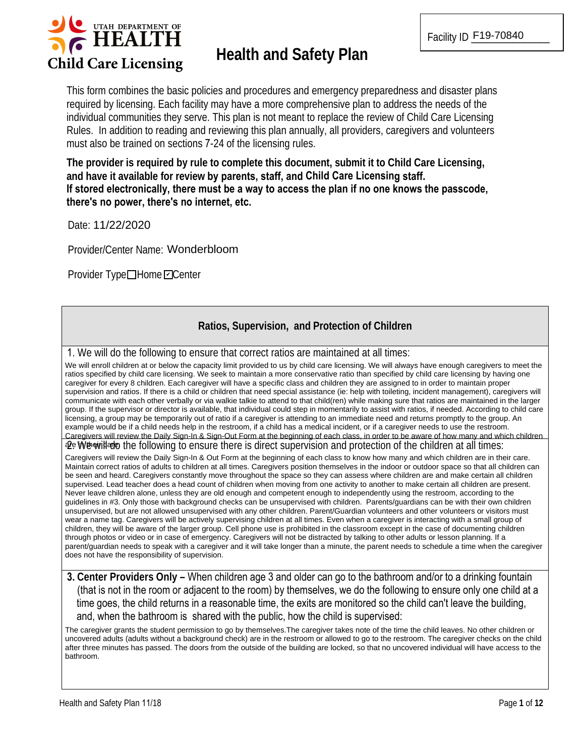

# **Health and Safety Plan**

This form combines the basic policies and procedures and emergency preparedness and disaster plans required by licensing. Each facility may have a more comprehensive plan to address the needs of the individual communities they serve. This plan is not meant to replace the review of Child Care Licensing Rules. In addition to reading and reviewing this plan annually, all providers, caregivers and volunteers must also be trained on sections 7-24 of the licensing rules.

The provider is required by rule to complete this document, submit it to Child Care Licensing, and have it available for review by parents, staff, and Child Care Licensing staff. If stored electronically, there must be a way to access the plan if no one knows the passcode, there's no power, there's no internet, etc.

Date: 11/22/2020

Provider/Center Name: Wonderbloom

Provider Type□Home□Center

## Ratios, Supervision, and Protection of Children

1. We will do the following to ensure that correct ratios are maintained at all times:

We will enroll children at or below the capacity limit provided to us by child care licensing. We will always have enough caregivers to meet the ratios specified by child care licensing. We seek to maintain a more conservative ratio than specified by child care licensing by having one caregiver for every 8 children. Each caregiver will have a specific class and children they are assigned to in order to maintain proper supervision and ratios. If there is a child or children that need special assistance (ie: help with toileting, incident management), caregivers will communicate with each other verbally or via walkie talkie to attend to that child(ren) while making sure that ratios are maintained in the larger group. If the supervisor or director is available, that individual could step in momentarily to assist with ratios, if needed. According to child care licensing, a group may be temporarily out of ratio if a caregiver is attending to an immediate need and returns promptly to the group. An example would be if a child needs help in the restroom, if a child has a medical incident, or if a caregiver needs to use the restroom. Caregivers will review the Daily Sign-In & Sign-Out Form at the beginning of each class, in order to be aware of how many and which children

 $\mathcal{Q}$  We will all times:  $\mathcal{Q}$  and the following to ensure there is direct supervision and protection of the children at all times:

Caregivers will review the Daily Sign-In & Out Form at the beginning of each class to know how many and which children are in their care. Maintain correct ratios of adults to children at all times. Caregivers position themselves in the indoor or outdoor space so that all children can be seen and heard. Caregivers constantly move throughout the space so they can assess where children are and make certain all children supervised. Lead teacher does a head count of children when moving from one activity to another to make certain all children are present. Never leave children alone, unless they are old enough and competent enough to independently using the restroom, according to the guidelines in #3. Only those with background checks can be unsupervised with children. Parents/guardians can be with their own children unsupervised, but are not allowed unsupervised with any other children. Parent/Guardian volunteers and other volunteers or visitors must wear a name tag. Caregivers will be actively supervising children at all times. Even when a caregiver is interacting with a small group of children, they will be aware of the larger group. Cell phone use is prohibited in the classroom except in the case of documenting children through photos or video or in case of emergency. Caregivers will not be distracted by talking to other adults or lesson planning. If a parent/guardian needs to speak with a caregiver and it will take longer than a minute, the parent needs to schedule a time when the caregiver does not have the responsibility of supervision.

3. Center Providers Only – When children age 3 and older can go to the bathroom and/or to a drinking fountain (that is not in the room or adjacent to the room) by themselves, we do the following to ensure only one child at a time goes, the child returns in a reasonable time, the exits are monitored so the child can't leave the building, and, when the bathroom is shared with the public, how the child is supervised:

The caregiver grants the student permission to go by themselves. The caregiver takes note of the time the child leaves. No other children or uncovered adults (adults without a background check) are in the restroom or allowed to go to the restroom. The caregiver checks on the child after three minutes has passed. The doors from the outside of the building are locked, so that no uncovered individual will have access to the bathroom.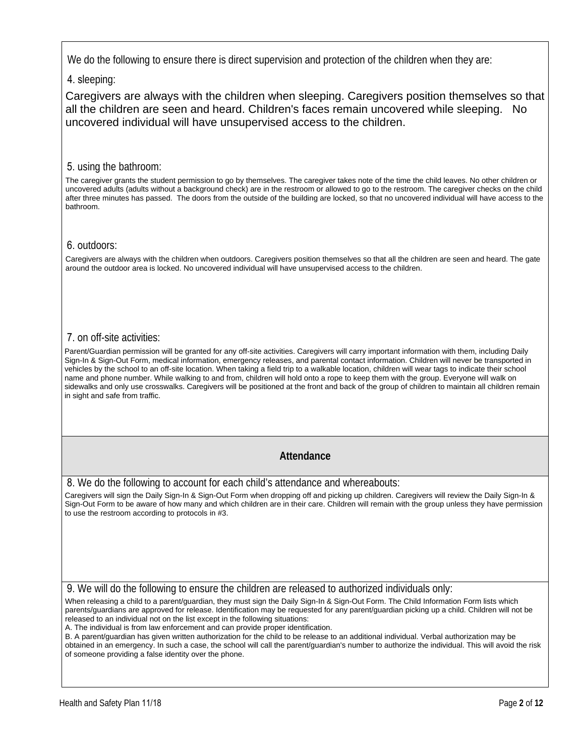We do the following to ensure there is direct supervision and protection of the children when they are:

4. sleeping:

Caregivers are always with the children when sleeping. Caregivers position themselves so that all the children are seen and heard. Children's faces remain uncovered while sleeping. No uncovered individual will have unsupervised access to the children.

#### 5. using the bathroom:

The caregiver grants the student permission to go by themselves. The caregiver takes note of the time the child leaves. No other children or uncovered adults (adults without a background check) are in the restroom or allowed to go to the restroom. The caregiver checks on the child after three minutes has passed. The doors from the outside of the building are locked, so that no uncovered individual will have access to the bathroom.

#### 6. outdoors:

Caregivers are always with the children when outdoors. Caregivers position themselves so that all the children are seen and heard. The gate around the outdoor area is locked. No uncovered individual will have unsupervised access to the children.

### 7, on off-site activities:

Parent/Guardian permission will be granted for any off-site activities. Caregivers will carry important information with them, including Daily Sign-In & Sign-Out Form, medical information, emergency releases, and parental contact information. Children will never be transported in vehicles by the school to an off-site location. When taking a field trip to a walkable location, children will wear tags to indicate their school name and phone number. While walking to and from, children will hold onto a rope to keep them with the group. Everyone will walk on sidewalks and only use crosswalks. Caregivers will be positioned at the front and back of the group of children to maintain all children remain in sight and safe from traffic.

## Attendance

8. We do the following to account for each child's attendance and whereabouts:

Caregivers will sign the Daily Sign-In & Sign-Out Form when dropping off and picking up children. Caregivers will review the Daily Sign-In & Sign-Out Form to be aware of how many and which children are in their care. Children will remain with the group unless they have permission to use the restroom according to protocols in #3.

9. We will do the following to ensure the children are released to authorized individuals only:

When releasing a child to a parent/guardian, they must sign the Daily Sign-In & Sign-Out Form. The Child Information Form lists which parents/guardians are approved for release. Identification may be requested for any parent/guardian picking up a child. Children will not be released to an individual not on the list except in the following situations:

A. The individual is from law enforcement and can provide proper identification.

B. A parent/guardian has given written authorization for the child to be release to an additional individual. Verbal authorization may be obtained in an emergency. In such a case, the school will call the parent/guardian's number to authorize the individual. This will avoid the risk of someone providing a false identity over the phone.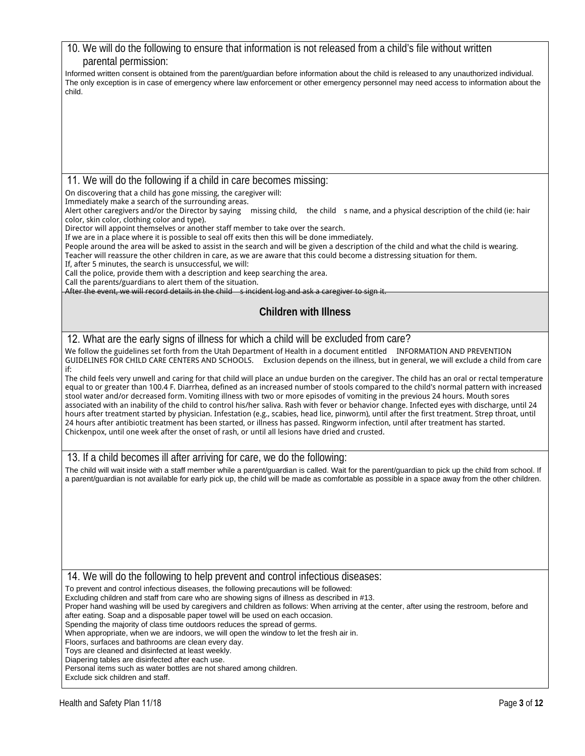| 10. We will do the following to ensure that information is not released from a child's file without written                                                                                                                                                                                             |
|---------------------------------------------------------------------------------------------------------------------------------------------------------------------------------------------------------------------------------------------------------------------------------------------------------|
| parental permission:                                                                                                                                                                                                                                                                                    |
| Informed written consent is obtained from the parent/guardian before information about the child is released to any unauthorized individual.<br>The only exception is in case of emergency where law enforcement or other emergency personnel may need access to information about the                  |
| child.                                                                                                                                                                                                                                                                                                  |
|                                                                                                                                                                                                                                                                                                         |
|                                                                                                                                                                                                                                                                                                         |
|                                                                                                                                                                                                                                                                                                         |
|                                                                                                                                                                                                                                                                                                         |
|                                                                                                                                                                                                                                                                                                         |
| 11. We will do the following if a child in care becomes missing:                                                                                                                                                                                                                                        |
| On discovering that a child has gone missing, the caregiver will:                                                                                                                                                                                                                                       |
| Immediately make a search of the surrounding areas.<br>Alert other caregivers and/or the Director by saying missing child, the child sname, and a physical description of the child (ie: hair                                                                                                           |
| color, skin color, clothing color and type).                                                                                                                                                                                                                                                            |
| Director will appoint themselves or another staff member to take over the search.<br>If we are in a place where it is possible to seal off exits then this will be done immediately.                                                                                                                    |
| People around the area will be asked to assist in the search and will be given a description of the child and what the child is wearing.                                                                                                                                                                |
| Teacher will reassure the other children in care, as we are aware that this could become a distressing situation for them.<br>If, after 5 minutes, the search is unsuccessful, we will:                                                                                                                 |
| Call the police, provide them with a description and keep searching the area.<br>Call the parents/guardians to alert them of the situation.                                                                                                                                                             |
| After the event, we will record details in the child sincident log and ask a caregiver to sign it.                                                                                                                                                                                                      |
| <b>Children with Illness</b>                                                                                                                                                                                                                                                                            |
|                                                                                                                                                                                                                                                                                                         |
| 12. What are the early signs of illness for which a child will be excluded from care?                                                                                                                                                                                                                   |
| We follow the guidelines set forth from the Utah Department of Health in a document entitled INFORMATION AND PREVENTION                                                                                                                                                                                 |
| GUIDELINES FOR CHILD CARE CENTERS AND SCHOOLS. Exclusion depends on the illness, but in general, we will exclude a child from care<br>if:                                                                                                                                                               |
| The child feels very unwell and caring for that child will place an undue burden on the caregiver. The child has an oral or rectal temperature                                                                                                                                                          |
| equal to or greater than 100.4 F. Diarrhea, defined as an increased number of stools compared to the child's normal pattern with increased<br>stool water and/or decreased form. Vomiting illness with two or more episodes of vomiting in the previous 24 hours. Mouth sores                           |
| associated with an inability of the child to control his/her saliva. Rash with fever or behavior change. Infected eyes with discharge, until 24                                                                                                                                                         |
| hours after treatment started by physician. Infestation (e.g., scabies, head lice, pinworm), until after the first treatment. Strep throat, until<br>24 hours after antibiotic treatment has been started, or illness has passed. Ringworm infection, until after treatment has started.                |
| Chickenpox, until one week after the onset of rash, or until all lesions have dried and crusted.                                                                                                                                                                                                        |
|                                                                                                                                                                                                                                                                                                         |
| 13. If a child becomes ill after arriving for care, we do the following:                                                                                                                                                                                                                                |
| The child will wait inside with a staff member while a parent/guardian is called. Wait for the parent/guardian to pick up the child from school. If<br>a parent/guardian is not available for early pick up, the child will be made as comfortable as possible in a space away from the other children. |
|                                                                                                                                                                                                                                                                                                         |
|                                                                                                                                                                                                                                                                                                         |
|                                                                                                                                                                                                                                                                                                         |
|                                                                                                                                                                                                                                                                                                         |
|                                                                                                                                                                                                                                                                                                         |
|                                                                                                                                                                                                                                                                                                         |
| 14. We will do the following to help prevent and control infectious diseases:                                                                                                                                                                                                                           |
| To prevent and control infectious diseases, the following precautions will be followed:                                                                                                                                                                                                                 |
| Excluding children and staff from care who are showing signs of illness as described in #13.<br>Proper hand washing will be used by caregivers and children as follows: When arriving at the center, after using the restroom, before and                                                               |
| after eating. Soap and a disposable paper towel will be used on each occasion.                                                                                                                                                                                                                          |
| Spending the majority of class time outdoors reduces the spread of germs.<br>When appropriate, when we are indoors, we will open the window to let the fresh air in.                                                                                                                                    |
| Floors, surfaces and bathrooms are clean every day.<br>Toys are cleaned and disinfected at least weekly.                                                                                                                                                                                                |
| Diapering tables are disinfected after each use.                                                                                                                                                                                                                                                        |
| Personal items such as water bottles are not shared among children.<br>Exclude sick children and staff.                                                                                                                                                                                                 |
|                                                                                                                                                                                                                                                                                                         |
| Health and Safety Plan 11/18<br>Page 3 of 12                                                                                                                                                                                                                                                            |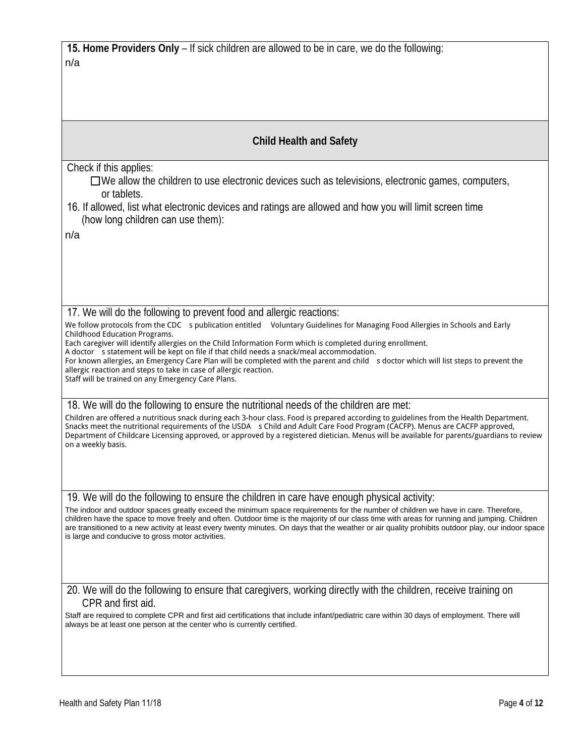| <b>15. Home Providers Only</b> – If sick children are allowed to be in care, we do the following: |  |
|---------------------------------------------------------------------------------------------------|--|
| n/a                                                                                               |  |

| <b>Child Health and Safety</b>                                                                                                                                                                                                                                                                                                                                                                                                                                                                 |
|------------------------------------------------------------------------------------------------------------------------------------------------------------------------------------------------------------------------------------------------------------------------------------------------------------------------------------------------------------------------------------------------------------------------------------------------------------------------------------------------|
| Check if this applies:<br>$\Box$ We allow the children to use electronic devices such as televisions, electronic games, computers,<br>or tablets.                                                                                                                                                                                                                                                                                                                                              |
| 16. If allowed, list what electronic devices and ratings are allowed and how you will limit screen time<br>(how long children can use them):                                                                                                                                                                                                                                                                                                                                                   |
| n/a                                                                                                                                                                                                                                                                                                                                                                                                                                                                                            |
|                                                                                                                                                                                                                                                                                                                                                                                                                                                                                                |
| 17. We will do the following to prevent food and allergic reactions:                                                                                                                                                                                                                                                                                                                                                                                                                           |
| We follow protocols from the CDC s publication entitled Voluntary Guidelines for Managing Food Allergies in Schools and Early<br>Childhood Education Programs.<br>Each caregiver will identify allergies on the Child Information Form which is completed during enrollment.                                                                                                                                                                                                                   |
| A doctor s statement will be kept on file if that child needs a snack/meal accommodation.<br>For known allergies, an Emergency Care Plan will be completed with the parent and child s doctor which will list steps to prevent the<br>allergic reaction and steps to take in case of allergic reaction.<br>Staff will be trained on any Emergency Care Plans.                                                                                                                                  |
| 18. We will do the following to ensure the nutritional needs of the children are met:                                                                                                                                                                                                                                                                                                                                                                                                          |
| Children are offered a nutritious snack during each 3-hour class. Food is prepared according to guidelines from the Health Department.<br>Snacks meet the nutritional requirements of the USDA s Child and Adult Care Food Program (CACFP). Menus are CACFP approved,<br>Department of Childcare Licensing approved, or approved by a registered dietician. Menus will be available for parents/guardians to review<br>on a weekly basis.                                                      |
|                                                                                                                                                                                                                                                                                                                                                                                                                                                                                                |
| 19. We will do the following to ensure the children in care have enough physical activity:                                                                                                                                                                                                                                                                                                                                                                                                     |
| The indoor and outdoor spaces greatly exceed the minimum space requirements for the number of children we have in care. Therefore,<br>children have the space to move freely and often. Outdoor time is the majority of our class time with areas for running and jumping. Children<br>are transitioned to a new activity at least every twenty minutes. On days that the weather or air quality prohibits outdoor play, our indoor space<br>is large and conducive to gross motor activities. |
|                                                                                                                                                                                                                                                                                                                                                                                                                                                                                                |
| 20. We will do the following to ensure that caregivers, working directly with the children, receive training on<br>CPR and first aid.                                                                                                                                                                                                                                                                                                                                                          |
| Staff are required to complete CPR and first aid certifications that include infant/pediatric care within 30 days of employment. There will<br>always be at least one person at the center who is currently certified.                                                                                                                                                                                                                                                                         |
|                                                                                                                                                                                                                                                                                                                                                                                                                                                                                                |
|                                                                                                                                                                                                                                                                                                                                                                                                                                                                                                |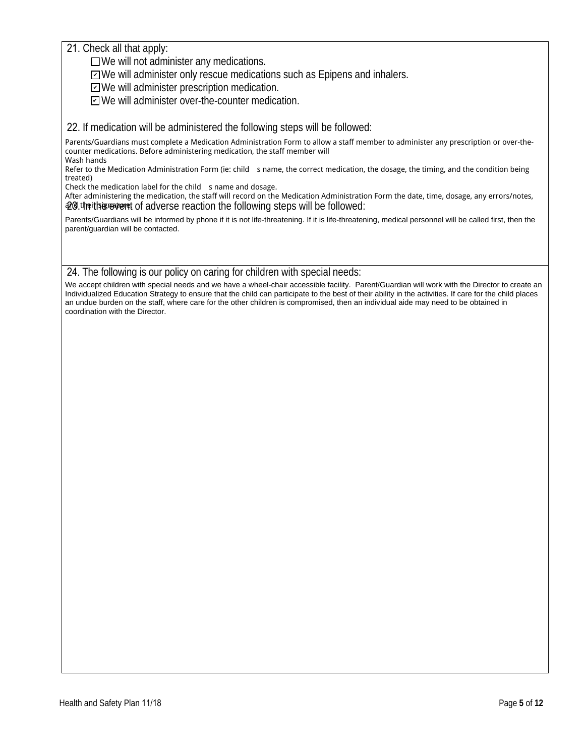21. Check all that apply:

 $\Box$  We will not administer any medications.

□ We will administer only rescue medications such as Epipens and inhalers.

ZWe will administer prescription medication.

□ We will administer over-the-counter medication.

22. If medication will be administered the following steps will be followed:

Parents/Guardians must complete a Medication Administration Form to allow a staff member to administer any prescription or over-thecounter medications. Before administering medication, the staff member will Wash hands

Refer to the Medication Administration Form (ie: child sname, the correct medication, the dosage, the timing, and the condition being treated)

Check the medication label for the child s name and dosage.

After administering the medication, the staff will record on the Medication Administration Form the date, time, dosage, any errors/notes, 20. the this cover of adverse reaction the following steps will be followed:

Parents/Guardians will be informed by phone if it is not life-threatening. If it is life-threatening, medical personnel will be called first, then the parent/guardian will be contacted.

#### 24. The following is our policy on caring for children with special needs:

We accept children with special needs and we have a wheel-chair accessible facility. Parent/Guardian will work with the Director to create an Individualized Education Strategy to ensure that the child can participate to the best of their ability in the activities. If care for the child places an undue burden on the staff, where care for the other children is compromised, then an individual aide may need to be obtained in coordination with the Director.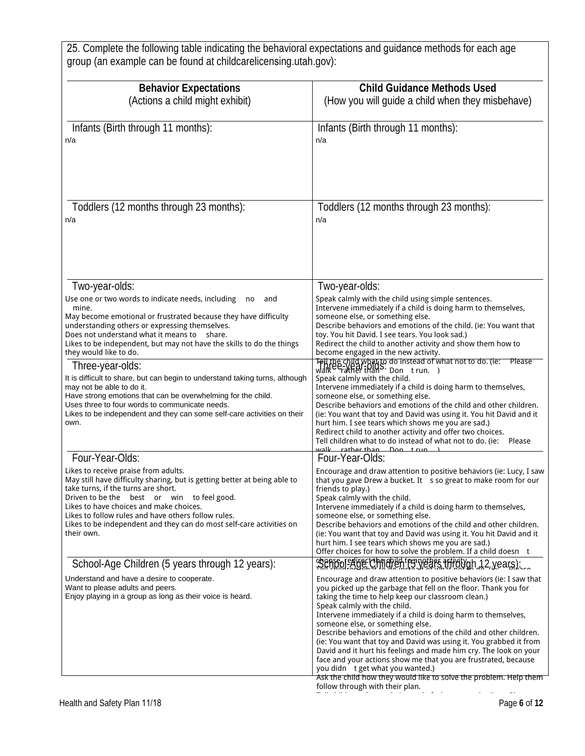25. Complete the following table indicating the behavioral expectations and guidance methods for each age group (an example can be found at childcarelicensing.utah.gov):

| <b>Behavior Expectations</b><br>(Actions a child might exhibit)                                                                                                                                                                                                                                                                                                                                                   | <b>Child Guidance Methods Used</b><br>(How you will guide a child when they misbehave)                                                                                                                                                                                                                                                                                                                                                                                                                                                                                                                                                                                                                                                                                                 |
|-------------------------------------------------------------------------------------------------------------------------------------------------------------------------------------------------------------------------------------------------------------------------------------------------------------------------------------------------------------------------------------------------------------------|----------------------------------------------------------------------------------------------------------------------------------------------------------------------------------------------------------------------------------------------------------------------------------------------------------------------------------------------------------------------------------------------------------------------------------------------------------------------------------------------------------------------------------------------------------------------------------------------------------------------------------------------------------------------------------------------------------------------------------------------------------------------------------------|
| Infants (Birth through 11 months):<br>n/a                                                                                                                                                                                                                                                                                                                                                                         | Infants (Birth through 11 months):<br>n/a                                                                                                                                                                                                                                                                                                                                                                                                                                                                                                                                                                                                                                                                                                                                              |
| Toddlers (12 months through 23 months):<br>n/a                                                                                                                                                                                                                                                                                                                                                                    | Toddlers (12 months through 23 months):<br>n/a                                                                                                                                                                                                                                                                                                                                                                                                                                                                                                                                                                                                                                                                                                                                         |
| Two-year-olds:<br>Use one or two words to indicate needs, including<br>and<br>no<br>mine.<br>May become emotional or frustrated because they have difficulty<br>understanding others or expressing themselves.<br>Does not understand what it means to share.<br>Likes to be independent, but may not have the skills to do the things<br>they would like to do.                                                  | Two-year-olds:<br>Speak calmly with the child using simple sentences.<br>Intervene immediately if a child is doing harm to themselves,<br>someone else, or something else.<br>Describe behaviors and emotions of the child. (ie: You want that<br>toy. You hit David. I see tears. You look sad.)<br>Redirect the child to another activity and show them how to<br>become engaged in the new activity.                                                                                                                                                                                                                                                                                                                                                                                |
| Three-year-olds:<br>It is difficult to share, but can begin to understand taking turns, although<br>may not be able to do it.<br>Have strong emotions that can be overwhelming for the child.<br>Uses three to four words to communicate needs.<br>Likes to be independent and they can some self-care activities on their<br>own.                                                                                | Fell the child what to do instead of what not to do. (ie: Please<br>walk <sup>CC</sup> rather than S. Don trun. )<br>Speak calmly with the child.<br>Intervene immediately if a child is doing harm to themselves,<br>someone else, or something else.<br>Describe behaviors and emotions of the child and other children.<br>(ie: You want that toy and David was using it. You hit David and it<br>hurt him. I see tears which shows me you are sad.)<br>Redirect child to another activity and offer two choices.<br>Tell children what to do instead of what not to do. (ie:<br>Please                                                                                                                                                                                             |
| Four-Year-Olds:<br>Likes to receive praise from adults.<br>May still have difficulty sharing, but is getting better at being able to<br>take turns, if the turns are short.<br>Driven to be the best or win to feel good.<br>Likes to have choices and make choices.<br>Likes to follow rules and have others follow rules.<br>Likes to be independent and they can do most self-care activities on<br>their own. | walk rather than Don trun<br>Four-Year-Olds:<br>Encourage and draw attention to positive behaviors (ie: Lucy, I saw<br>that you gave Drew a bucket. It s so great to make room for our<br>friends to play.)<br>Speak calmly with the child.<br>Intervene immediately if a child is doing harm to themselves,<br>someone else, or something else.<br>Describe behaviors and emotions of the child and other children.<br>(ie: You want that toy and David was using it. You hit David and it<br>hurt him. I see tears which shows me you are sad.)<br>Offer choices for how to solve the problem. If a child doesn t                                                                                                                                                                    |
| School-Age Children (5 years through 12 years):<br>Understand and have a desire to cooperate.<br>Want to please adults and peers.<br>Enjoy playing in a group as long as their voice is heard.                                                                                                                                                                                                                    | shape or edirect hard in the years affidivgh 12, years);<br>Encourage and draw attention to positive behaviors (ie: I saw that<br>you picked up the garbage that fell on the floor. Thank you for<br>taking the time to help keep our classroom clean.)<br>Speak calmly with the child.<br>Intervene immediately if a child is doing harm to themselves,<br>someone else, or something else.<br>Describe behaviors and emotions of the child and other children.<br>(ie: You want that toy and David was using it. You grabbed it from<br>David and it hurt his feelings and made him cry. The look on your<br>face and your actions show me that you are frustrated, because<br>you didn t get what you wanted.)<br>Ask the child how they would like to solve the problem. Help them |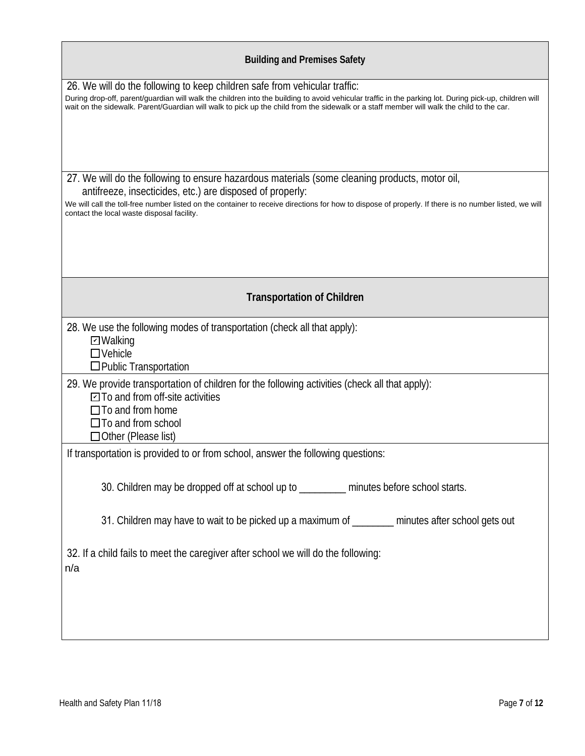| <b>Building and Premises Safety</b>                                                                                                                                                                                                                                                                                                                                              |
|----------------------------------------------------------------------------------------------------------------------------------------------------------------------------------------------------------------------------------------------------------------------------------------------------------------------------------------------------------------------------------|
| 26. We will do the following to keep children safe from vehicular traffic:<br>During drop-off, parent/guardian will walk the children into the building to avoid vehicular traffic in the parking lot. During pick-up, children will<br>wait on the sidewalk. Parent/Guardian will walk to pick up the child from the sidewalk or a staff member will walk the child to the car. |
| 27. We will do the following to ensure hazardous materials (some cleaning products, motor oil,<br>antifreeze, insecticides, etc.) are disposed of properly:<br>We will call the toll-free number listed on the container to receive directions for how to dispose of properly. If there is no number listed, we will                                                             |
| contact the local waste disposal facility.                                                                                                                                                                                                                                                                                                                                       |
| <b>Transportation of Children</b>                                                                                                                                                                                                                                                                                                                                                |
| 28. We use the following modes of transportation (check all that apply):<br><b>D</b> Walking<br>$\Box$ Vehicle<br>□ Public Transportation                                                                                                                                                                                                                                        |
| 29. We provide transportation of children for the following activities (check all that apply):<br>$\Box$ To and from off-site activities<br>$\Box$ To and from home<br>$\Box$ To and from school<br>$\Box$ Other (Please list)                                                                                                                                                   |
| If transportation is provided to or from school, answer the following questions:                                                                                                                                                                                                                                                                                                 |
| 30. Children may be dropped off at school up to ________ minutes before school starts.                                                                                                                                                                                                                                                                                           |
| 31. Children may have to wait to be picked up a maximum of _______ minutes after school gets out                                                                                                                                                                                                                                                                                 |
| 32. If a child fails to meet the caregiver after school we will do the following:<br>n/a                                                                                                                                                                                                                                                                                         |
|                                                                                                                                                                                                                                                                                                                                                                                  |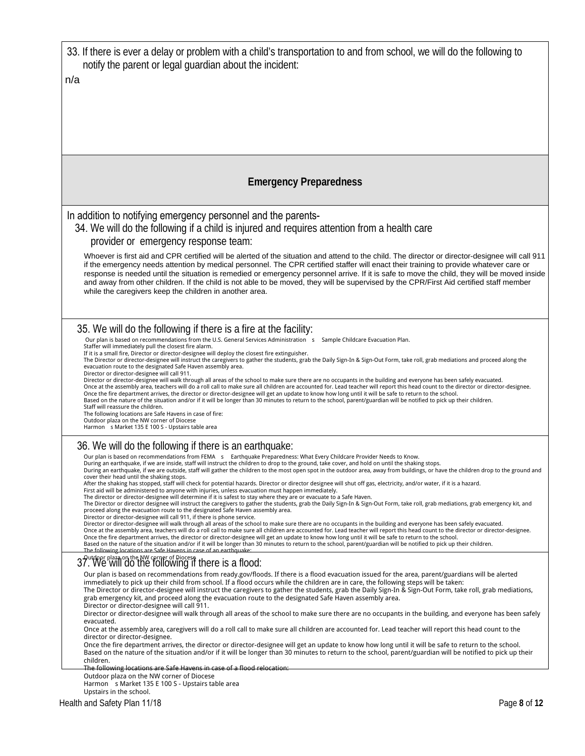| 33. If there is ever a delay or problem with a child's transportation to and from school, we will do the following to<br>notify the parent or legal guardian about the incident:                                                                                                                                                                                                                                                                                                                                                                                                                                                                                                                                                                                                               |
|------------------------------------------------------------------------------------------------------------------------------------------------------------------------------------------------------------------------------------------------------------------------------------------------------------------------------------------------------------------------------------------------------------------------------------------------------------------------------------------------------------------------------------------------------------------------------------------------------------------------------------------------------------------------------------------------------------------------------------------------------------------------------------------------|
| n/a                                                                                                                                                                                                                                                                                                                                                                                                                                                                                                                                                                                                                                                                                                                                                                                            |
|                                                                                                                                                                                                                                                                                                                                                                                                                                                                                                                                                                                                                                                                                                                                                                                                |
|                                                                                                                                                                                                                                                                                                                                                                                                                                                                                                                                                                                                                                                                                                                                                                                                |
|                                                                                                                                                                                                                                                                                                                                                                                                                                                                                                                                                                                                                                                                                                                                                                                                |
|                                                                                                                                                                                                                                                                                                                                                                                                                                                                                                                                                                                                                                                                                                                                                                                                |
|                                                                                                                                                                                                                                                                                                                                                                                                                                                                                                                                                                                                                                                                                                                                                                                                |
| <b>Emergency Preparedness</b>                                                                                                                                                                                                                                                                                                                                                                                                                                                                                                                                                                                                                                                                                                                                                                  |
|                                                                                                                                                                                                                                                                                                                                                                                                                                                                                                                                                                                                                                                                                                                                                                                                |
| In addition to notifying emergency personnel and the parents-<br>34. We will do the following if a child is injured and requires attention from a health care                                                                                                                                                                                                                                                                                                                                                                                                                                                                                                                                                                                                                                  |
| provider or emergency response team:                                                                                                                                                                                                                                                                                                                                                                                                                                                                                                                                                                                                                                                                                                                                                           |
| Whoever is first aid and CPR certified will be alerted of the situation and attend to the child. The director or director-designee will call 911<br>if the emergency needs attention by medical personnel. The CPR certified staffer will enact their training to provide whatever care or<br>response is needed until the situation is remedied or emergency personnel arrive. If it is safe to move the child, they will be moved inside<br>and away from other children. If the child is not able to be moved, they will be supervised by the CPR/First Aid certified staff member<br>while the caregivers keep the children in another area.                                                                                                                                               |
|                                                                                                                                                                                                                                                                                                                                                                                                                                                                                                                                                                                                                                                                                                                                                                                                |
| 35. We will do the following if there is a fire at the facility:                                                                                                                                                                                                                                                                                                                                                                                                                                                                                                                                                                                                                                                                                                                               |
| Our plan is based on recommendations from the U.S. General Services Administration s<br>Sample Childcare Evacuation Plan.<br>Staffer will immediately pull the closest fire alarm.<br>If it is a small fire, Director or director-designee will deploy the closest fire extinguisher.<br>The Director or director-designee will instruct the caregivers to gather the students, grab the Daily Sign-In & Sign-Out Form, take roll, grab mediations and proceed along the<br>evacuation route to the designated Safe Haven assembly area.<br>Director or director-designee will call 911.                                                                                                                                                                                                       |
| Director or director-designee will walk through all areas of the school to make sure there are no occupants in the building and everyone has been safely evacuated.<br>Once at the assembly area, teachers will do a roll call to make sure all children are accounted for. Lead teacher will report this head count to the director or director-designee.<br>Once the fire department arrives, the director or director-designee will get an update to know how long until it will be safe to return to the school.<br>Based on the nature of the situation and/or if it will be longer than 30 minutes to return to the school, parent/guardian will be notified to pick up their children.<br>Staff will reassure the children.<br>The following locations are Safe Havens in case of fire: |
| Outdoor plaza on the NW corner of Diocese<br>Harmon s Market 135 E 100 S - Upstairs table area                                                                                                                                                                                                                                                                                                                                                                                                                                                                                                                                                                                                                                                                                                 |
| 36. We will do the following if there is an earthquake:                                                                                                                                                                                                                                                                                                                                                                                                                                                                                                                                                                                                                                                                                                                                        |
| Our plan is based on recommendations from FEMA s Earthquake Preparedness: What Every Childcare Provider Needs to Know.<br>During an earthquake, if we are inside, staff will instruct the children to drop to the ground, take cover, and hold on until the shaking stops.<br>During an earthquake, if we are outside, staff will gather the children to the most open spot in the outdoor area, away from buildings, or have the children drop to the ground and<br>cover their head until the shaking stops.                                                                                                                                                                                                                                                                                 |
| After the shaking has stopped, staff will check for potential hazards. Director or director designee will shut off gas, electricity, and/or water, if it is a hazard.<br>First aid will be administered to anyone with injuries, unless evacuation must happen immediately.<br>The director or director-designee will determine if it is safest to stay where they are or evacuate to a Safe Haven.                                                                                                                                                                                                                                                                                                                                                                                            |
| The Director or director designee will instruct the caregivers to gather the students, grab the Daily Sign-In & Sign-Out Form, take roll, grab mediations, grab emergency kit, and<br>proceed along the evacuation route to the designated Safe Haven assembly area.<br>Director or director-designee will call 911, if there is phone service.                                                                                                                                                                                                                                                                                                                                                                                                                                                |
| Director or director-designee will walk through all areas of the school to make sure there are no occupants in the building and everyone has been safely evacuated.<br>Once at the assembly area, teachers will do a roll call to make sure all children are accounted for. Lead teacher will report this head count to the director or director-designee.<br>Once the fire department arrives, the director or director-designee will get an update to know how long until it will be safe to return to the school.<br>Based on the nature of the situation and/or if it will be longer than 30 minutes to return to the school, parent/guardian will be notified to pick up their children.<br>The following locations are Safe Havens in case of an earthquake:                             |
| 37. We will do the NW cerner of Diocese f there is a flood:                                                                                                                                                                                                                                                                                                                                                                                                                                                                                                                                                                                                                                                                                                                                    |
| Our plan is based on recommendations from ready.gov/floods. If there is a flood evacuation issued for the area, parent/guardians will be alerted<br>immediately to pick up their child from school. If a flood occurs while the children are in care, the following steps will be taken:<br>The Director or director-designee will instruct the caregivers to gather the students, grab the Daily Sign-In & Sign-Out Form, take roll, grab mediations,<br>grab emergency kit, and proceed along the evacuation route to the designated Safe Haven assembly area.<br>Director or director-designee will call 911.                                                                                                                                                                               |
| Director or director-designee will walk through all areas of the school to make sure there are no occupants in the building, and everyone has been safely<br>evacuated.                                                                                                                                                                                                                                                                                                                                                                                                                                                                                                                                                                                                                        |
| Once at the assembly area, caregivers will do a roll call to make sure all children are accounted for. Lead teacher will report this head count to the<br>director or director-designee.                                                                                                                                                                                                                                                                                                                                                                                                                                                                                                                                                                                                       |
| Once the fire department arrives, the director or director-designee will get an update to know how long until it will be safe to return to the school.<br>Based on the nature of the situation and/or if it will be longer than 30 minutes to return to the school, parent/guardian will be notified to pick up their<br>children.                                                                                                                                                                                                                                                                                                                                                                                                                                                             |
| The following locations are Safe Havens in case of a flood relocation<br>Outdoor plaza on the NW corner of Diocese                                                                                                                                                                                                                                                                                                                                                                                                                                                                                                                                                                                                                                                                             |
| Harmon s Market 135 E 100 S - Upstairs table area                                                                                                                                                                                                                                                                                                                                                                                                                                                                                                                                                                                                                                                                                                                                              |

Upstairs in the school.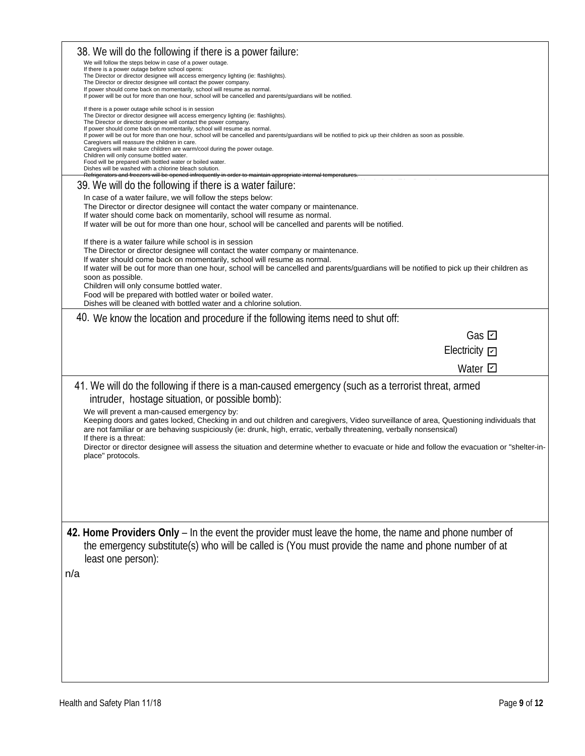| 38. We will do the following if there is a power failure:<br>We will follow the steps below in case of a power outage.<br>If there is a power outage before school opens:                                                                                                                                                                                                                                                                                                                                                                                                                                                                                                                                                                                                                                                                                                      |
|--------------------------------------------------------------------------------------------------------------------------------------------------------------------------------------------------------------------------------------------------------------------------------------------------------------------------------------------------------------------------------------------------------------------------------------------------------------------------------------------------------------------------------------------------------------------------------------------------------------------------------------------------------------------------------------------------------------------------------------------------------------------------------------------------------------------------------------------------------------------------------|
| The Director or director designee will access emergency lighting (ie: flashlights).<br>The Director or director designee will contact the power company.<br>If power should come back on momentarily, school will resume as normal.<br>If power will be out for more than one hour, school will be cancelled and parents/guardians will be notified.                                                                                                                                                                                                                                                                                                                                                                                                                                                                                                                           |
| If there is a power outage while school is in session<br>The Director or director designee will access emergency lighting (ie: flashlights).<br>The Director or director designee will contact the power company.<br>If power should come back on momentarily, school will resume as normal.<br>If power will be out for more than one hour, school will be cancelled and parents/guardians will be notified to pick up their children as soon as possible.<br>Caregivers will reassure the children in care.<br>Caregivers will make sure children are warm/cool during the power outage.<br>Children will only consume bottled water.<br>Food will be prepared with bottled water or boiled water.<br>Dishes will be washed with a chlorine bleach solution.<br>Refrigerators and freezers will be opened infrequently in order to maintain appropriate internal temperature |
| 39. We will do the following if there is a water failure:                                                                                                                                                                                                                                                                                                                                                                                                                                                                                                                                                                                                                                                                                                                                                                                                                      |
| In case of a water failure, we will follow the steps below:<br>The Director or director designee will contact the water company or maintenance.<br>If water should come back on momentarily, school will resume as normal.                                                                                                                                                                                                                                                                                                                                                                                                                                                                                                                                                                                                                                                     |
| If water will be out for more than one hour, school will be cancelled and parents will be notified.<br>If there is a water failure while school is in session<br>The Director or director designee will contact the water company or maintenance.<br>If water should come back on momentarily, school will resume as normal.<br>If water will be out for more than one hour, school will be cancelled and parents/guardians will be notified to pick up their children as<br>soon as possible.<br>Children will only consume bottled water.<br>Food will be prepared with bottled water or boiled water.<br>Dishes will be cleaned with bottled water and a chlorine solution.                                                                                                                                                                                                 |
| 40. We know the location and procedure if the following items need to shut off:                                                                                                                                                                                                                                                                                                                                                                                                                                                                                                                                                                                                                                                                                                                                                                                                |
| Gas $\boxdot$                                                                                                                                                                                                                                                                                                                                                                                                                                                                                                                                                                                                                                                                                                                                                                                                                                                                  |
| Electricity <b>[</b>                                                                                                                                                                                                                                                                                                                                                                                                                                                                                                                                                                                                                                                                                                                                                                                                                                                           |
| Water $\boxdot$                                                                                                                                                                                                                                                                                                                                                                                                                                                                                                                                                                                                                                                                                                                                                                                                                                                                |
| 41. We will do the following if there is a man-caused emergency (such as a terrorist threat, armed<br>intruder, hostage situation, or possible bomb):                                                                                                                                                                                                                                                                                                                                                                                                                                                                                                                                                                                                                                                                                                                          |
| We will prevent a man-caused emergency by:<br>Keeping doors and gates locked, Checking in and out children and caregivers, Video surveillance of area, Questioning individuals that<br>are not familiar or are behaving suspiciously (ie: drunk, high, erratic, verbally threatening, verbally nonsensical)<br>If there is a threat:                                                                                                                                                                                                                                                                                                                                                                                                                                                                                                                                           |
| Director or director designee will assess the situation and determine whether to evacuate or hide and follow the evacuation or "shelter-in-<br>place" protocols.                                                                                                                                                                                                                                                                                                                                                                                                                                                                                                                                                                                                                                                                                                               |
|                                                                                                                                                                                                                                                                                                                                                                                                                                                                                                                                                                                                                                                                                                                                                                                                                                                                                |
|                                                                                                                                                                                                                                                                                                                                                                                                                                                                                                                                                                                                                                                                                                                                                                                                                                                                                |
| 42. Home Providers Only – In the event the provider must leave the home, the name and phone number of<br>the emergency substitute(s) who will be called is (You must provide the name and phone number of at<br>least one person):                                                                                                                                                                                                                                                                                                                                                                                                                                                                                                                                                                                                                                             |
| n/a                                                                                                                                                                                                                                                                                                                                                                                                                                                                                                                                                                                                                                                                                                                                                                                                                                                                            |
|                                                                                                                                                                                                                                                                                                                                                                                                                                                                                                                                                                                                                                                                                                                                                                                                                                                                                |
|                                                                                                                                                                                                                                                                                                                                                                                                                                                                                                                                                                                                                                                                                                                                                                                                                                                                                |
|                                                                                                                                                                                                                                                                                                                                                                                                                                                                                                                                                                                                                                                                                                                                                                                                                                                                                |
|                                                                                                                                                                                                                                                                                                                                                                                                                                                                                                                                                                                                                                                                                                                                                                                                                                                                                |
|                                                                                                                                                                                                                                                                                                                                                                                                                                                                                                                                                                                                                                                                                                                                                                                                                                                                                |
|                                                                                                                                                                                                                                                                                                                                                                                                                                                                                                                                                                                                                                                                                                                                                                                                                                                                                |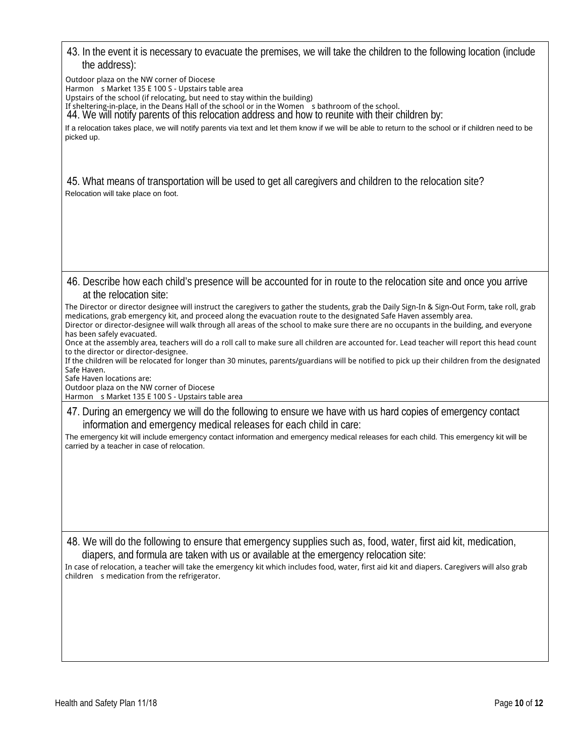| 43. In the event it is necessary to evacuate the premises, we will take the children to the following location (include<br>the address):                                                                                                                                                                                                                                                |
|-----------------------------------------------------------------------------------------------------------------------------------------------------------------------------------------------------------------------------------------------------------------------------------------------------------------------------------------------------------------------------------------|
| Outdoor plaza on the NW corner of Diocese<br>Harmon s Market 135 E 100 S - Upstairs table area<br>Upstairs of the school (if relocating, but need to stay within the building)<br>If sheltering-in-place, in the Deans Hall of the school or in the Women s bathroom of the school.<br>44. We will notify parents of this relocation address and how to reunite with their children by: |
| If a relocation takes place, we will notify parents via text and let them know if we will be able to return to the school or if children need to be<br>picked up.                                                                                                                                                                                                                       |
| 45. What means of transportation will be used to get all caregivers and children to the relocation site?<br>Relocation will take place on foot.                                                                                                                                                                                                                                         |
|                                                                                                                                                                                                                                                                                                                                                                                         |

46. Describe how each child's presence will be accounted for in route to the relocation site and once you arrive at the relocation site:

The Director or director designee will instruct the caregivers to gather the students, grab the Daily Sign-In & Sign-Out Form, take roll, grab medications, grab emergency kit, and proceed along the evacuation route to the designated Safe Haven assembly area. Director or director-designee will walk through all areas of the school to make sure there are no occupants in the building, and everyone

has been safely evacuated. Once at the assembly area, teachers will do a roll call to make sure all children are accounted for. Lead teacher will report this head count to the director or director-designee.

If the children will be relocated for longer than 30 minutes, parents/guardians will be notified to pick up their children from the designated Safe Haven.

Safe Haven locations are:

Outdoor plaza on the NW corner of Diocese

Harmon s Market 135 E 100 S - Upstairs table area

47. During an emergency we will do the following to ensure we have with us hard copies of emergency contact information and emergency medical releases for each child in care:

The emergency kit will include emergency contact information and emergency medical releases for each child. This emergency kit will be carried by a teacher in case of relocation.

48. We will do the following to ensure that emergency supplies such as, food, water, first aid kit, medication, diapers, and formula are taken with us or available at the emergency relocation site:

In case of relocation, a teacher will take the emergency kit which includes food, water, first aid kit and diapers. Caregivers will also grab children s medication from the refrigerator.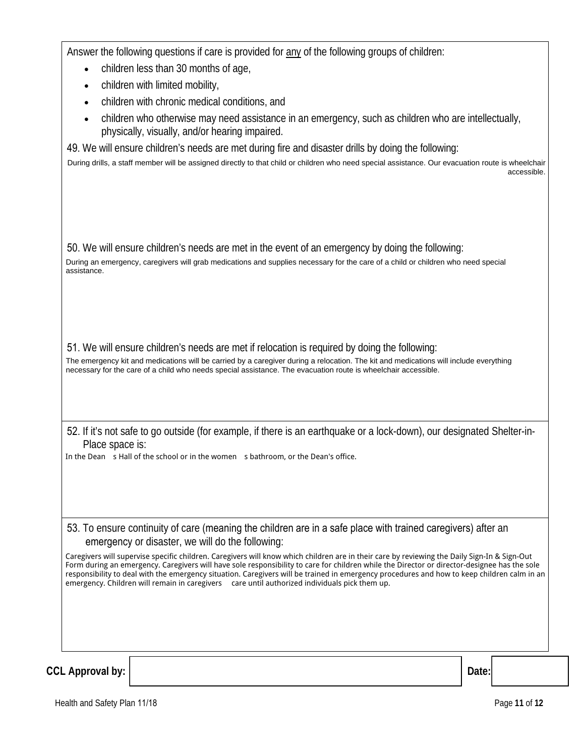Answer the following questions if care is provided for any of the following groups of children:

- children less than 30 months of age,  $\bullet$
- children with limited mobility,
- children with chronic medical conditions, and
- children who otherwise may need assistance in an emergency, such as children who are intellectually, physically, visually, and/or hearing impaired.

49. We will ensure children's needs are met during fire and disaster drills by doing the following:

During drills, a staff member will be assigned directly to that child or children who need special assistance. Our evacuation route is wheelchair accessible.

50. We will ensure children's needs are met in the event of an emergency by doing the following:

During an emergency, caregivers will grab medications and supplies necessary for the care of a child or children who need special assistance.

51. We will ensure children's needs are met if relocation is required by doing the following:

The emergency kit and medications will be carried by a caregiver during a relocation. The kit and medications will include everything necessary for the care of a child who needs special assistance. The evacuation route is wheelchair accessible.

52. If it's not safe to go outside (for example, if there is an earthquake or a lock-down), our designated Shelter-in-Place space is:

In the Dean s Hall of the school or in the women s bathroom, or the Dean's office.

53. To ensure continuity of care (meaning the children are in a safe place with trained caregivers) after an emergency or disaster, we will do the following:

Caregivers will supervise specific children. Caregivers will know which children are in their care by reviewing the Daily Sign-In & Sign-Out Form during an emergency. Caregivers will have sole responsibility to care for children while the Director or director-designee has the sole responsibility to deal with the emergency situation. Caregivers will be trained in emergency procedures and how to keep children calm in an emergency. Children will remain in caregivers care until authorized individuals pick them up.

**CCL Approval by:** 

Date: